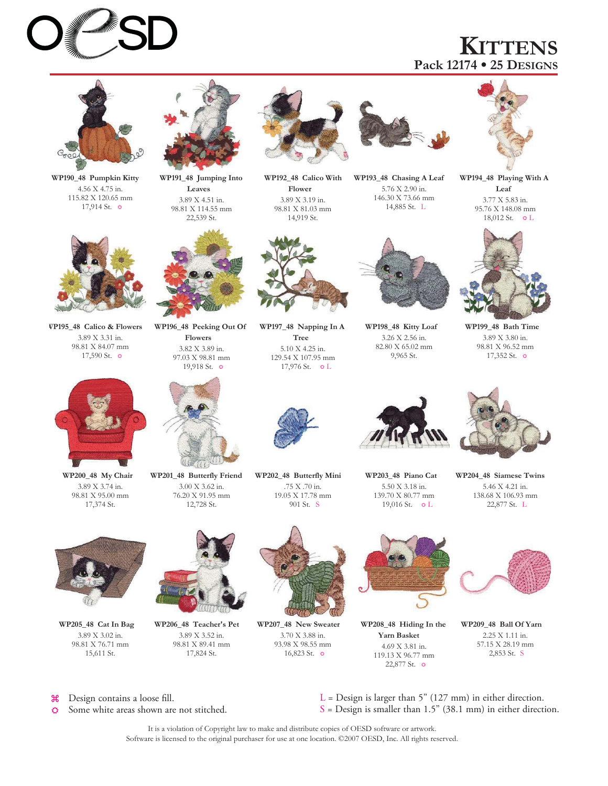# **KITTENS Pack 12174 25 DESIGNS**



**WP190\_48 Pumpkin Kitty** 4.56 X 4.75 in. 115.82 X 120.65 mm 17,914 St.



**WP191\_48 Jumping Into Leaves** 3.89 X 4.51 in. 98.81 X 114.55 mm 22,539 St.



**WP192\_48 Calico With Flower** 3.89 X 3.19 in. 98.81 X 81.03 mm 14,919 St.



**WP193\_48 Chasing A Leaf** 5.76 X 2.90 in. 146.30 X 73.66 mm 14,885 St. L



**WP194\_48 Playing With A Leaf** 3.77 X 5.83 in. 95.76 X 148.08 mm 18,012 St.  $\circ$  L



**WP199\_48 Bath Time** 3.89 X 3.80 in. 98.81 X 96.52 mm 17,352 St.



**WP195\_48 Calico & Flowers** 3.89 X 3.31 in. 98.81 X 84.07 mm 17,590 St.



**WP196\_48 Peeking Out Of Flowers** 3.82 X 3.89 in. 97.03 X 98.81 mm 19,918 St.



**WP197\_48 Napping In A Tree** 5.10 X 4.25 in. 129.54 X 107.95 mm 17,976 St.  $\circ$  L



**WP198\_48 Kitty Loaf** 3.26 X 2.56 in. 82.80 X 65.02 mm 9,965 St.



**WP200\_48 My Chair** 3.89 X 3.74 in. 98.81 X 95.00 mm 17,374 St.



**WP201\_48 Butterfly Friend** 3.00 X 3.62 in. 76.20 X 91.95 mm 12,728 St.



**WP202\_48 Butterfly Mini** .75 X .70 in. 19.05 X 17.78 mm 901 St. S



**WP203\_48 Piano Cat** 5.50 X 3.18 in. 139.70 X 80.77 mm 19,016 St.  $\circ$  L



**WP204\_48 Siamese Twins** 5.46 X 4.21 in. 138.68 X 106.93 mm 22,877 St. L



**WP205\_48 Cat In Bag** 3.89 X 3.02 in. 98.81 X 76.71 mm 15,611 St.



**WP206\_48 Teacher's Pet** 3.89 X 3.52 in. 98.81 X 89.41 mm 17,824 St.



**WP207\_48 New Sweater** 3.70 X 3.88 in. 93.98 X 98.55 mm 16,823 St.  $\circ$ 



**WP208\_48 Hiding In the Yarn Basket** 4.69 X 3.81 in. 119.13 X 96.77 mm 22,877 St.



**WP209\_48 Ball Of Yarn** 2.25 X 1.11 in. 57.15 X 28.19 mm 2,853 St. S

 $\mathcal{H}$ Design contains a loose fill.

Some white areas shown are not stitched. ♦

 $L =$  Design is larger than 5" (127 mm) in either direction.  $S =$  Design is smaller than 1.5" (38.1 mm) in either direction.

It is a violation of Copyright law to make and distribute copies of OESD software or artwork. Software is licensed to the original purchaser for use at one location. ©2007 OESD, Inc. All rights reserved.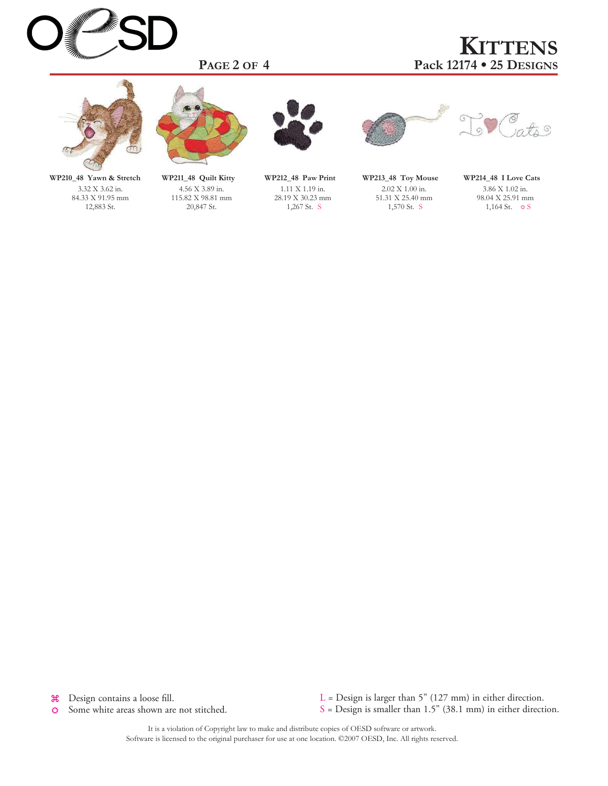

**PAGE 2 OF 4**

# **KITTENS 25 DESIGNS Pack 12174**



**WP210\_48 Yawn & Stretch** 3.32 X 3.62 in. 84.33 X 91.95 mm 12,883 St.



**WP211\_48 Quilt Kitty** 4.56 X 3.89 in. 115.82 X 98.81 mm 20,847 St.



**WP212\_48 Paw Print** 1.11 X 1.19 in. 28.19 X 30.23 mm 1,267 St. S







**WP214\_48 I Love Cats** 3.86 X 1.02 in. 98.04 X 25.91 mm 1,164 St.  $\circ$  S

Design contains a loose fill.  $\mathcal{H}$ 

 $\breve{\mathbf{C}}$ Some white areas shown are not stitched. L = Design is larger than 5" (127 mm) in either direction.  $S =$  Design is smaller than 1.5" (38.1 mm) in either direction.

It is a violation of Copyright law to make and distribute copies of OESD software or artwork. Software is licensed to the original purchaser for use at one location. ©2007 OESD, Inc. All rights reserved.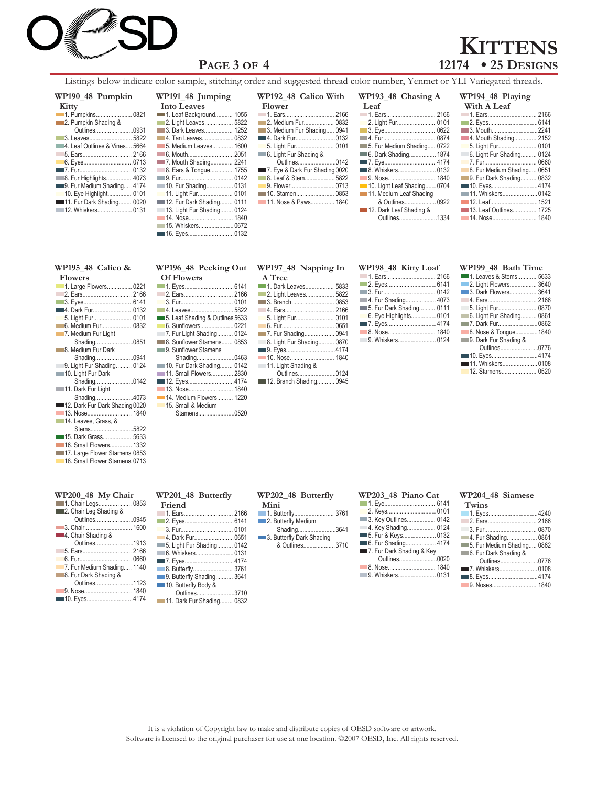

# **PAGE 3 OF 4**

# **KITTENS**<br>12174 • 25 DESIGNS **12174 25 DESIGNS**

Listings below indicate color sample, stitching order and suggested thread color number, Yenmet or YLI Variegated threads.

#### **Kitty WP190\_48 Pumpkin**

| <b>NIUV</b>                   |  |
|-------------------------------|--|
|                               |  |
| 2. Pumpkin Shading &          |  |
| Outlines0931                  |  |
|                               |  |
| 4. Leaf Outlines & Vines 5664 |  |
|                               |  |
|                               |  |
|                               |  |
| 8. Fur Highlights 4073        |  |
| 9. Fur Medium Shading 4174    |  |
| 10. Eye Highlight 0101        |  |
| 11. Fur Dark Shading 0020     |  |
|                               |  |
|                               |  |

| WP191_48 Jumping             |  |
|------------------------------|--|
| <b>Into Leaves</b>           |  |
| 1055.  1055. Leaf Background |  |
| 2. Light Leaves 5822         |  |
| 3. Dark Leaves 1252          |  |
|                              |  |
| <b>5. Medium Leaves 1600</b> |  |
| 6. Mouth2051                 |  |
| 7. Mouth Shading 2241        |  |
| 8. Ears & Tongue 1755        |  |
| — 9. Fur………………………… 0142      |  |
| 10. Fur Shading 0131         |  |
|                              |  |
| 12. Fur Dark Shading 0111    |  |
| 13. Light Fur Shading 0124   |  |
|                              |  |
| 15. Whiskers 0672            |  |
| ■ 16. Eyes0132               |  |

| WP192 48 Calico With           |
|--------------------------------|
| Flower                         |
|                                |
| 2. Medium Fur 0832             |
| 3. Medium Fur Shading 0941     |
|                                |
| 5. Light Fur 0101              |
| 6. Light Fur Shading &         |
| Outlines0142                   |
| 7. Eye & Dark Fur Shading 0020 |
| 8. Leaf & Stem 5822            |
| 9. Flower0713                  |
|                                |
| 11. Nose & Paws 1840           |

| WP193_48 Chasing A         |      |
|----------------------------|------|
| Leaf                       |      |
|                            |      |
|                            |      |
| <b>3. Eye</b>              | 0622 |
|                            |      |
| 5. Fur Medium Shading 0722 |      |
| 6. Dark Shading 1874       |      |
|                            |      |
|                            |      |
|                            |      |
| 10. Light Leaf Shading0704 |      |
| 11. Medium Leaf Shading    |      |
| & Outlines 0922            |      |
| 12. Dark Leaf Shading &    |      |
| Outlines1334               |      |

| WP194 48 Playing              |  |
|-------------------------------|--|
| With A Leaf                   |  |
|                               |  |
|                               |  |
| 3. Mouth2241                  |  |
| 4. Mouth Shading 2152         |  |
|                               |  |
| 6. Light Fur Shading 0124     |  |
|                               |  |
| 8. Fur Medium Shading 0651    |  |
| 9. Fur Dark Shading 0832      |  |
| <b>10. Eyes4174</b>           |  |
|                               |  |
|                               |  |
|                               |  |
| <b>14. Nose 14. Nose 1840</b> |  |
|                               |  |

### **WP195\_48 Calico &**

**Flowers**

| 1100 CD                        |  |
|--------------------------------|--|
| 1. Large Flowers 0221          |  |
|                                |  |
|                                |  |
| 4. Dark Fur0132                |  |
|                                |  |
| 6. Medium Fur 0832             |  |
| 7. Medium Fur Light            |  |
| Shading0851                    |  |
| 8. Medium Fur Dark             |  |
| Shading0941                    |  |
| 9. Light Fur Shading 0124      |  |
| 10. Light Fur Dark             |  |
| Shading0142                    |  |
| 11. Dark Fur Light             |  |
| Shading4073                    |  |
| 12. Dark Fur Dark Shading 0020 |  |
|                                |  |
| 14. Leaves, Grass, &           |  |
| Stems5822                      |  |
| <b>■ 15. Dark Grass 5633</b>   |  |
| 16. Small Flowers 1332         |  |
| 17. Large Flower Stamens 0853  |  |
| 18. Small Flower Stamens, 0713 |  |
|                                |  |

#### **WP200\_48 My Chair**

| 1. Chair Legs 0853         |
|----------------------------|
| 2. Chair Leg Shading &     |
| Outlines0945               |
|                            |
| 4. Chair Shading &         |
| Outlines1913               |
|                            |
|                            |
| 7. Fur Medium Shading 1140 |
| 8. Fur Dark Shading &      |
| Outlines1123               |
|                            |
|                            |

# $\overline{Of}$  Flowers

| UITUWEIS                     |  |
|------------------------------|--|
|                              |  |
|                              |  |
| 3. Fur 0101                  |  |
|                              |  |
| 5633 Leaf Shading & Outlines |  |
| 6. Sunflowers 0221           |  |
| 7. Fur Light Shading 0124    |  |
| 8. Sunflower Stamens 0853    |  |
| 9. Sunflower Stamens         |  |
| Shading0463                  |  |
| 10. Fur Dark Shading 0142    |  |
| 11. Small Flowers 2830       |  |
|                              |  |
|                              |  |
| 1220 14. Medium Flowers 1220 |  |
| 15. Small & Medium           |  |
| Stamens0520                  |  |
|                              |  |

### **WP196\_48 Peeking Out WP197\_48 Napping In**

| A Tree                    |  |
|---------------------------|--|
| 1. Dark Leaves 5833       |  |
| 2. Light Leaves 5822      |  |
|                           |  |
|                           |  |
|                           |  |
|                           |  |
| 7. Fur Shading 0941       |  |
| 8. Light Fur Shading 0870 |  |
|                           |  |
|                           |  |
| 11. Light Shading &       |  |
| Outlines0124              |  |
| 12. Branch Shading 0945   |  |

## **WP198\_48 Kitty Loaf**

| 5. Fur Dark Shading 0111 |  |
|--------------------------|--|
| 6. Eye Highlights0101    |  |
|                          |  |
|                          |  |
|                          |  |
|                          |  |

### **WP199\_48 Bath Time**

| <b>1. Leaves &amp; Stems</b> 5633 |  |
|-----------------------------------|--|
| 2. Light Flowers 3640             |  |
| 3. Dark Flowers 3641              |  |
|                                   |  |
| 5. Light Fur 0870                 |  |
| 6. Light Fur Shading 0861         |  |
|                                   |  |
| 8. Nose & Tongue 1840             |  |
| 9. Dark Fur Shading &             |  |
| Outlines0776                      |  |
|                                   |  |
|                                   |  |
|                                   |  |
|                                   |  |

## **WP201\_48 Butterfly**

| Friend                           |  |
|----------------------------------|--|
|                                  |  |
|                                  |  |
|                                  |  |
| 4. Dark Fur0651                  |  |
| 5. Light Fur Shading 0142        |  |
|                                  |  |
|                                  |  |
|                                  |  |
| <b>9. Butterfly Shading</b> 3641 |  |
| 10. Butterfly Body &             |  |
| Outlines3710                     |  |
| 111. Dark Fur Shading 0832       |  |

#### **WP202\_48 Butterfly**

| Mini                |  |
|---------------------|--|
| 1. Butterfly 3761   |  |
| 2. Butterfly Medium |  |

| Shading3641               |  |
|---------------------------|--|
| 3. Butterfly Dark Shading |  |
| & Outlines3710            |  |

#### **WP203\_48 Piano Cat**

| WIZUJ TO ITAHU CAU        |  |
|---------------------------|--|
|                           |  |
|                           |  |
| 3. Key Outlines 0142      |  |
| 4. Key Shading 0124       |  |
|                           |  |
| 6. Fur Shading 4174       |  |
| 7. Fur Dark Shading & Key |  |
| Outlines0020              |  |
|                           |  |
|                           |  |
|                           |  |

#### **WP204\_48 Siamese**

| Twins                      |  |
|----------------------------|--|
|                            |  |
|                            |  |
|                            |  |
| 4. Fur Shading 0861        |  |
| 5. Fur Medium Shading 0862 |  |
| 6. Fur Dark Shading &      |  |
| Outlines0776               |  |
|                            |  |
|                            |  |
|                            |  |